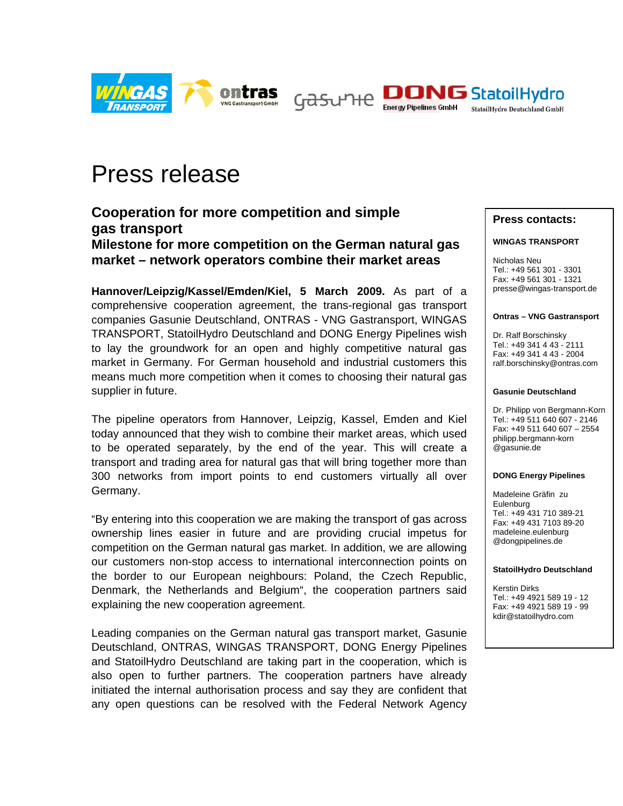





# Press release

**Cooperation for more competition and simple gas transport Milestone for more competition on the German natural gas market – network operators combine their market areas** 

**Hannover/Leipzig/Kassel/Emden/Kiel, 5 March 2009.** As part of a comprehensive cooperation agreement, the trans-regional gas transport companies Gasunie Deutschland, ONTRAS - VNG Gastransport, WINGAS TRANSPORT, StatoilHydro Deutschland and DONG Energy Pipelines wish to lay the groundwork for an open and highly competitive natural gas market in Germany. For German household and industrial customers this means much more competition when it comes to choosing their natural gas supplier in future.

The pipeline operators from Hannover, Leipzig, Kassel, Emden and Kiel today announced that they wish to combine their market areas, which used to be operated separately, by the end of the year. This will create a transport and trading area for natural gas that will bring together more than 300 networks from import points to end customers virtually all over Germany.

"By entering into this cooperation we are making the transport of gas across ownership lines easier in future and are providing crucial impetus for competition on the German natural gas market. In addition, we are allowing our customers non-stop access to international interconnection points on the border to our European neighbours: Poland, the Czech Republic, Denmark, the Netherlands and Belgium", the cooperation partners said explaining the new cooperation agreement.

Leading companies on the German natural gas transport market, Gasunie Deutschland, ONTRAS, WINGAS TRANSPORT, DONG Energy Pipelines and StatoilHydro Deutschland are taking part in the cooperation, which is also open to further partners. The cooperation partners have already initiated the internal authorisation process and say they are confident that any open questions can be resolved with the Federal Network Agency

## **Press contacts:**

### **WINGAS TRANSPORT**

Nicholas Neu Tel.: +49 561 301 - 3301 Fax: +49 561 301 - 1321 presse@wingas-transport.de

#### **Ontras – VNG Gastransport**

Dr. Ralf Borschinsky Tel.: +49 341 4 43 - 2111 Fax: +49 341 4 43 - 2004 ralf.borschinsky@ontras.com

#### **Gasunie Deutschland**

Dr. Philipp von Bergmann-Korn Tel.: +49 511 640 607 - 2146 Fax: +49 511 640 607 – 2554 philipp.bergmann-korn @gasunie.de

#### **DONG Energy Pipelines**

Madeleine Gräfin zu Eulenburg Tel.: +49 431 710 389-21 Fax: +49 431 7103 89-20 madeleine.eulenburg @dongpipelines.de

#### **StatoilHydro Deutschland**

Kerstin Dirks Tel.: +49 4921 589 19 - 12 Fax: +49 4921 589 19 - 99 kdir@statoilhydro.com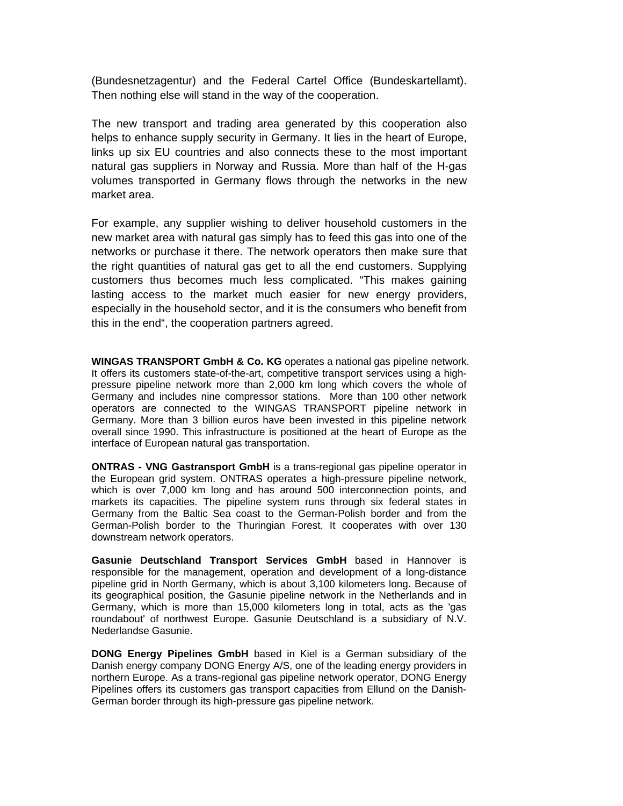(Bundesnetzagentur) and the Federal Cartel Office (Bundeskartellamt). Then nothing else will stand in the way of the cooperation.

The new transport and trading area generated by this cooperation also helps to enhance supply security in Germany. It lies in the heart of Europe, links up six EU countries and also connects these to the most important natural gas suppliers in Norway and Russia. More than half of the H-gas volumes transported in Germany flows through the networks in the new market area.

For example, any supplier wishing to deliver household customers in the new market area with natural gas simply has to feed this gas into one of the networks or purchase it there. The network operators then make sure that the right quantities of natural gas get to all the end customers. Supplying customers thus becomes much less complicated. "This makes gaining lasting access to the market much easier for new energy providers, especially in the household sector, and it is the consumers who benefit from this in the end", the cooperation partners agreed.

**WINGAS TRANSPORT GmbH & Co. KG** operates a national gas pipeline network. It offers its customers state-of-the-art, competitive transport services using a highpressure pipeline network more than 2,000 km long which covers the whole of Germany and includes nine compressor stations. More than 100 other network operators are connected to the WINGAS TRANSPORT pipeline network in Germany. More than 3 billion euros have been invested in this pipeline network overall since 1990. This infrastructure is positioned at the heart of Europe as the interface of European natural gas transportation.

**ONTRAS - VNG Gastransport GmbH** is a trans-regional gas pipeline operator in the European grid system. ONTRAS operates a high-pressure pipeline network, which is over 7,000 km long and has around 500 interconnection points, and markets its capacities. The pipeline system runs through six federal states in Germany from the Baltic Sea coast to the German-Polish border and from the German-Polish border to the Thuringian Forest. It cooperates with over 130 downstream network operators.

**Gasunie Deutschland Transport Services GmbH** based in Hannover is responsible for the management, operation and development of a long-distance pipeline grid in North Germany, which is about 3,100 kilometers long. Because of its geographical position, the Gasunie pipeline network in the Netherlands and in Germany, which is more than 15,000 kilometers long in total, acts as the 'gas roundabout' of northwest Europe. Gasunie Deutschland is a subsidiary of N.V. Nederlandse Gasunie.

**DONG Energy Pipelines GmbH** based in Kiel is a German subsidiary of the Danish energy company DONG Energy A/S, one of the leading energy providers in northern Europe. As a trans-regional gas pipeline network operator, DONG Energy Pipelines offers its customers gas transport capacities from Ellund on the Danish-German border through its high-pressure gas pipeline network.